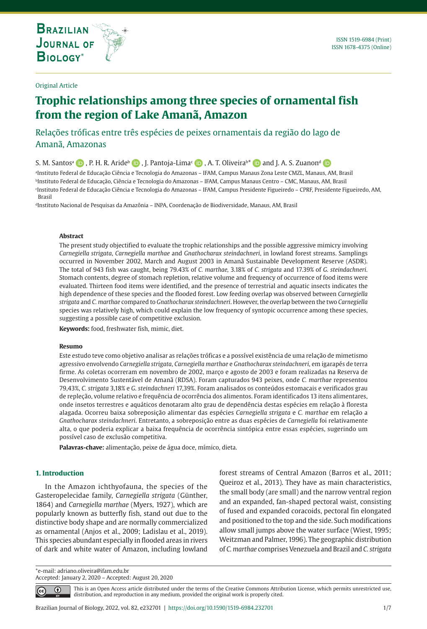**THE INTERNATIONAL JOURNAL ON GLOBAL BIODIVERSITY AND ENVIRONMENT**

# Original Article

# **Trophic relationships among three species of ornamental fish from the region of Lake Amanã, Amazon**

# Relações tróficas entre três espécies de peixes ornamentais da região do lago de Amanã, Amazonas

S.M. Santos<sup>a</sup> **D**, P. H. R. Aride<sup>b</sup> **D** , J. Pantoja-Lima<sup>c</sup> **D** , A. T. Oliveirab<sup>\*</sup> **D** [a](https://orcid.org/0000-0003-4988-9878)nd J. A. S. Zuanon<sup>d</sup> **D** 

a Instituto Federal de Educação Ciência e Tecnologia do Amazonas – IFAM, Campus Manaus Zona Leste CMZL, Manaus, AM, Brasil bInstituto Federal de Educação, Ciência e Tecnologia do Amazonas – IFAM, Campus Manaus Centro – CMC, Manaus, AM, Brasil c Instituto Federal de Educação Ciência e Tecnologia do Amazonas – IFAM, Campus Presidente Figueiredo – CPRF, Presidente Figueiredo, AM, Brasil

<sup>d</sup>Instituto Nacional de Pesquisas da Amazônia - INPA, Coordenação de Biodiversidade, Manaus, AM, Brasil

# **Abstract**

The present study objectified to evaluate the trophic relationships and the possible aggressive mimicry involving *Carnegiella strigata*, *Carnegiella marthae* and *Gnathocharax steindachneri*, in lowland forest streams. Samplings occurred in November 2002, March and August 2003 in Amanã Sustainable Development Reserve (ASDR). The total of 943 fish was caught, being 79.43% of *C. marthae,* 3.18% of *C. strigata* and 17.39% of *G. steindachneri*. Stomach contents, degree of stomach repletion, relative volume and frequency of occurrence of food items were evaluated. Thirteen food items were identified, and the presence of terrestrial and aquatic insects indicates the high dependence of these species and the flooded forest. Low feeding overlap was observed between *Carnegiella strigata* and *C. marthae* compared to *Gnathocharax steindachneri*. However, the overlap between the two *Carnegiella* species was relatively high, which could explain the low frequency of syntopic occurrence among these species, suggesting a possible case of competitive exclusion.

**Keywords:** food, freshwater fish, mimic, diet.

#### **Resumo**

Este estudo teve como objetivo analisar as relações tróficas e a possível existência de uma relação de mimetismo agressivo envolvendo *Carnegiella strigata*, *Carnegiella marthae* e *Gnathocharax steindachneri*, em igarapés de terra firme. As coletas ocorreram em novembro de 2002, março e agosto de 2003 e foram realizadas na Reserva de Desenvolvimento Sustentável de Amanã (RDSA). Foram capturados 943 peixes, onde *C. marthae* representou 79,43%, *C. strigata* 3,18% e *G. steindachneri* 17,39%. Foram analisados os conteúdos estomacais e verificados grau de repleção, volume relativo e frequência de ocorrência dos alimentos. Foram identificados 13 itens alimentares, onde insetos terrestres e aquáticos denotaram alto grau de dependência destas espécies em relação à floresta alagada. Ocorreu baixa sobreposição alimentar das espécies *Carnegiella strigata* e *C. marthae* em relação a *Gnathocharax steindachneri*. Entretanto, a sobreposição entre as duas espécies de *Carnegiella* foi relativamente alta, o que poderia explicar a baixa frequência de ocorrência sintópica entre essas espécies, sugerindo um possível caso de exclusão competitiva.

**Palavras-chave:** alimentação, peixe de água doce, mímico, dieta.

# **1. Introduction**

In the Amazon ichthyofauna, the species of the Gasteropelecidae family, *Carnegiella strigata* (Günther, 1864) and *Carnegiella marthae* (Myers, 1927), which are popularly known as butterfly fish, stand out due to the distinctive body shape and are normally commercialized as ornamental (Anjos et al., 2009; Ladislau et al., 2019). This species abundant especially in flooded areas in rivers of dark and white water of Amazon, including lowland forest streams of Central Amazon (Barros et al., 2011; Queiroz et al., 2013). They have as main characteristics, the small body (are small) and the narrow ventral region and an expanded, fan-shaped pectoral waist, consisting of fused and expanded coracoids, pectoral fin elongated and positioned to the top and the side. Such modifications allow small jumps above the water surface (Wiest, 1995; Weitzman and Palmer, 1996). The geographic distribution of *C. marthae* comprises Venezuela and Brazil and *C. strigata*

\*e-mail: adriano.oliveira@ifam.edu.br Accepted: January 2, 2020 – Accepted: August 20, 2020

 $\bigcirc$ 

This is an Open Access article distributed under the terms of the Creative Commons Attribution License, which permits unrestricted use, distribution, and reproduction in any medium, provided the original work is properly cited.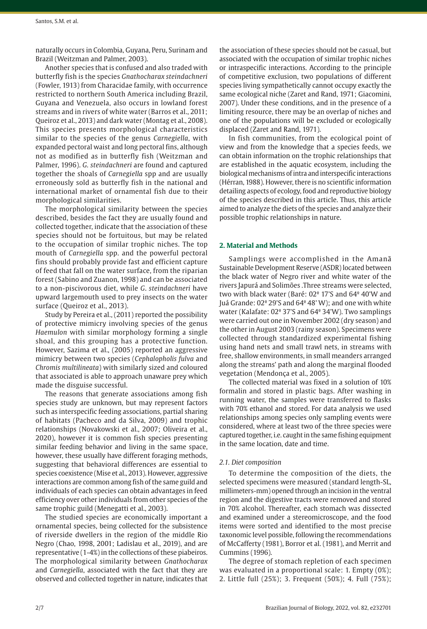naturally occurs in Colombia, Guyana, Peru, Surinam and Brazil (Weitzman and Palmer, 2003).

Another species that is confused and also traded with butterfly fish is the species *Gnathocharax steindachneri* (Fowler, 1913) from Characidae family, with occurrence restricted to northern South America including Brazil, Guyana and Venezuela, also occurs in lowland forest streams and in rivers of white water (Barros et al., 2011; Queiroz et al., 2013) and dark water (Montag et al., 2008). This species presents morphological characteristics similar to the species of the genus *Carnegiella*, with expanded pectoral waist and long pectoral fins, although not as modified as in butterfly fish (Weitzman and Palmer, 1996). *G. steindachneri* are found and captured together the shoals of *Carnegiella* spp and are usually erroneously sold as butterfly fish in the national and international market of ornamental fish due to their morphological similarities.

The morphological similarity between the species described, besides the fact they are usually found and collected together, indicate that the association of these species should not be fortuitous, but may be related to the occupation of similar trophic niches. The top mouth of *Carnegiella* spp. and the powerful pectoral fins should probably provide fast and efficient capture of feed that fall on the water surface, from the riparian forest (Sabino and Zuanon, 1998) and can be associated to a non-piscivorous diet, while *G*. *steindachneri* have upward largemouth used to prey insects on the water surface (Queiroz et al., 2013).

Study by Pereira et al., (2011) reported the possibility of protective mimicry involving species of the genus *Haemulon* with similar morphology forming a single shoal, and this grouping has a protective function. However, Sazima et al., (2005) reported an aggressive mimicry between two species (*Cephalopholis fulva* and *Chromis multilineata*) with similarly sized and coloured that associated is able to approach unaware prey which made the disguise successful.

The reasons that generate associations among fish species study are unknown, but may represent factors such as interspecific feeding associations, partial sharing of habitats (Pacheco and da Silva, 2009) and trophic relationships (Novakowski et al., 2007; Oliveira et al., 2020), however it is common fish species presenting similar feeding behavior and living in the same space, however, these usually have different foraging methods, suggesting that behavioral differences are essential to species coexistence (Mise et al., 2013). However, aggressive interactions are common among fish of the same guild and individuals of each species can obtain advantages in feed efficiency over other individuals from other species of the same trophic guild (Menegatti et al., 2003).

The studied species are economically important a ornamental species, being collected for the subsistence of riverside dwellers in the region of the middle Rio Negro (Chao, 1998, 2001; Ladislau et al., 2019), and are representative (1-4%) in the collections of these piabeiros. The morphological similarity between *Gnathocharax* and *Carnegiella*, associated with the fact that they are observed and collected together in nature, indicates that the association of these species should not be casual, but associated with the occupation of similar trophic niches or intraspecific interactions. According to the principle of competitive exclusion, two populations of different species living sympathetically cannot occupy exactly the same ecological niche (Zaret and Rand, 1971; Giacomini, 2007). Under these conditions, and in the presence of a limiting resource, there may be an overlap of niches and one of the populations will be excluded or ecologically displaced (Zaret and Rand, 1971).

In fish communities, from the ecological point of view and from the knowledge that a species feeds, we can obtain information on the trophic relationships that are established in the aquatic ecosystem, including the biological mechanisms of intra and interspecific interactions (Hérran, 1988). However, there is no scientific information detailing aspects of ecology, food and reproductive biology of the species described in this article. Thus, this article aimed to analyze the diets of the species and analyze their possible trophic relationships in nature.

# **2. Material and Methods**

Samplings were accomplished in the Amanã Sustainable Development Reserve (ASDR) located between the black water of Negro river and white water of the rivers Japurá and Solimões .Three streams were selected, two with black water (Baré: 02º 17'S and 64º 40'W and Juá Grande: 02º 29'S and 64º 48' W); and one with white water (Kalafate: 02º 37'S and 64º 34'W). Two samplings were carried out one in November 2002 (dry season) and the other in August 2003 (rainy season). Specimens were collected through standardized experimental fishing using hand nets and small trawl nets, in streams with free, shallow environments, in small meanders arranged along the streams' path and along the marginal flooded vegetation (Mendonça et al., 2005).

The collected material was fixed in a solution of 10% formalin and stored in plastic bags. After washing in running water, the samples were transferred to flasks with 70% ethanol and stored. For data analysis we used relationships among species only sampling events were considered, where at least two of the three species were captured together, i.e. caught in the same fishing equipment in the same location, date and time.

#### *2.1. Diet composition*

To determine the composition of the diets, the selected specimens were measured (standard length-SL, millimeters-mm) opened through an incision in the ventral region and the digestive tracts were removed and stored in 70% alcohol. Thereafter, each stomach was dissected and examined under a stereomicroscope, and the food items were sorted and identified to the most precise taxonomic level possible, following the recommendations of McCafferty (1981), Borror et al. (1981), and Merrit and Cummins (1996).

The degree of stomach repletion of each specimen was evaluated in a proportional scale: 1. Empty (0%); 2. Little full (25%); 3. Frequent (50%); 4. Full (75%);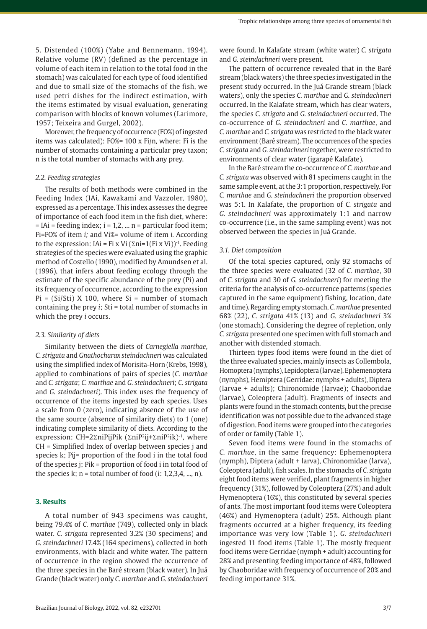5. Distended (100%) (Yabe and Bennemann, 1994). Relative volume (RV) (defined as the percentage in volume of each item in relation to the total food in the stomach) was calculated for each type of food identified and due to small size of the stomachs of the fish, we used petri dishes for the indirect estimation, with the items estimated by visual evaluation, generating comparison with blocks of known volumes (Larimore, 1957; Teixeira and Gurgel, 2002).

Moreover, the frequency of occurrence (FO%) of ingested items was calculated): FO%= 100 x Fi/n, where: Fi is the number of stomachs containing a particular prey taxon; n is the total number of stomachs with any prey.

#### *2.2. Feeding strategies*

The results of both methods were combined in the Feeding Index (IAi, Kawakami and Vazzoler, 1980), expressed as a percentage. This index assesses the degree of importance of each food item in the fish diet, where:  $=$  IAi  $=$  feeding index; i  $=$  1,2, ... n  $=$  particular food item; Fi=FO% of item *i;* and Vi%= volume of item *i.* According to the expression: IAi = Fi x Vi ( $\Sigma$ ni=1(Fi x Vi))<sup>-1</sup>. Feeding strategies of the species were evaluated using the graphic method of Costello (1990), modified by Amundsen et al. (1996), that infers about feeding ecology through the estimate of the specific abundance of the prey (Pi) and its frequency of occurrence, according to the expression  $Pi = (Si/Sti)$  X 100, where  $Si =$  number of stomach containing the prey *i*; Sti = total number of stomachs in which the prey *i* occurs.

#### *2.3. Similarity of diets*

Similarity between the diets of *Carnegiella marthae*, *C. strigata* and *Gnathocharax steindachneri* was calculated using the simplified index of Morisita-Horn (Krebs, 1998), applied to combinations of pairs of species (*C. marthae* and *C. strigata*; *C. marthae* and *G. steindachneri*; *C. strigata* and *G. steindachneri*). This index uses the frequency of occurrence of the items ingested by each species. Uses a scale from 0 (zero), indicating absence of the use of the same source (absence of similarity diets) to 1 (one) indicating complete similarity of diets. According to the expression: CH=2ΣniPijPik (ΣniP2ij+ΣniP2ik)-1, where CH = Simplified Index of overlap between species j and species k; Pij= proportion of the food i in the total food of the species j; Pik = proportion of food i in total food of the species k;  $n =$  total number of food (i: 1,2,3,4, ..., n).

# **3. Results**

A total number of 943 specimens was caught, being 79.4% of *C. marthae* (749), collected only in black water. *C. strigata* represented 3.2% (30 specimens) and *G. steindachneri* 17.4% (164 specimens), collected in both environments, with black and white water. The pattern of occurrence in the region showed the occurrence of the three species in the Baré stream (black water). In Juá Grande (black water) only *C. marthae* and *G. steindachneri* were found. In Kalafate stream (white water) *C. strigata* and *G. steindachneri* were present.

The pattern of occurrence revealed that in the Baré stream (black waters) the three species investigated in the present study occurred. In the Juá Grande stream (black waters), only the species *C. marthae* and *G. steindachneri* occurred. In the Kalafate stream, which has clear waters, the species *C. strigata* and *G. steindachneri* occurred. The co-occurrence of *G. steindachneri* and *C. marthae*, and *C. marthae* and *C. strigata* was restricted to the black water environment (Baré stream). The occurrences of the species *C. strigata* and *G. steindachneri* together, were restricted to environments of clear water (igarapé Kalafate).

In the Baré stream the co-occurrence of *C. marthae* and *C. strigata* was observed with 81 specimens caught in the same sample event, at the 3:1 proportion, respectively. For *C. marthae* and *G. steindachneri* the proportion observed was 5:1. In Kalafate, the proportion of *C. strigata* and *G. steindachneri* was approximately 1:1 and narrow co-occurrence (i.e., in the same sampling event) was not observed between the species in Juá Grande.

#### *3.1. Diet composition*

Of the total species captured, only 92 stomachs of the three species were evaluated (32 of *C. marthae*, 30 of *C. strigata* and 30 of *G. steindachneri*) for meeting the criteria for the analysis of co-occurrence patterns (species captured in the same equipment) fishing, location, date and time). Regarding empty stomach, *C. marthae* presented 68% (22), *C. strigata* 41% (13) and *G. steindachneri* 3% (one stomach). Considering the degree of repletion, only *C. strigata* presented one specimen with full stomach and another with distended stomach.

Thirteen types food items were found in the diet of the three evaluated species, mainly insects as Collembola, Homoptera (nymphs), Lepidoptera (larvae), Ephemenoptera (nymphs), Hemiptera (Gerridae: nymphs + adults), Diptera (larvae + adults); Chironomide (larvae); Chaoboridae (larvae), Coleoptera (adult). Fragments of insects and plants were found in the stomach contents, but the precise identification was not possible due to the advanced stage of digestion. Food items were grouped into the categories of order or family (Table 1).

Seven food items were found in the stomachs of *C. marthae*, in the same frequency: Ephemenoptera (nymph), Diptera (adult + larva), Chironomidae (larva), Coleoptera (adult), fish scales. In the stomachs of *C. strigata* eight food items were verified, plant fragments in higher frequency (31%), followed by Coleoptera (27%) and adult Hymenoptera (16%), this constituted by several species of ants. The most important food items were Coleoptera (46%) and Hymenoptera (adult) 25%. Although plant fragments occurred at a higher frequency, its feeding importance was very low (Table 1). *G. steindachneri* ingested 11 food items (Table 1). The mostly frequent food items were Gerridae (nymph + adult) accounting for 28% and presenting feeding importance of 48%, followed by Chaoboridae with frequency of occurrence of 20% and feeding importance 31%.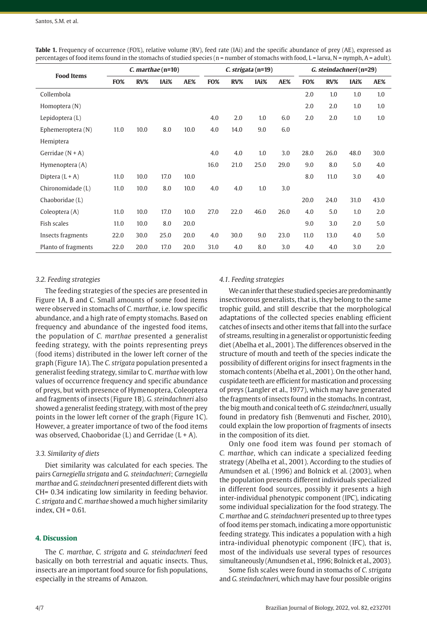| <b>Food Items</b>   | $C.$ marthae (n=10) |        |      |      | C. strigata (n=19) |        |      |      | G. steindachneri (n=29) |      |      |      |
|---------------------|---------------------|--------|------|------|--------------------|--------|------|------|-------------------------|------|------|------|
|                     | <b>FO%</b>          | $RV\%$ | IAi% | AE%  | <b>FO%</b>         | $RV\%$ | IAi% | AE%  | FO%                     | RV%  | IAi% | AE%  |
| Collembola          |                     |        |      |      |                    |        |      |      | 2.0                     | 1.0  | 1.0  | 1.0  |
| Homoptera (N)       |                     |        |      |      |                    |        |      |      | 2.0                     | 2.0  | 1.0  | 1.0  |
| Lepidoptera (L)     |                     |        |      |      | 4.0                | 2.0    | 1.0  | 6.0  | 2.0                     | 2.0  | 1.0  | 1.0  |
| Ephemeroptera (N)   | 11.0                | 10.0   | 8.0  | 10.0 | 4.0                | 14.0   | 9.0  | 6.0  |                         |      |      |      |
| Hemiptera           |                     |        |      |      |                    |        |      |      |                         |      |      |      |
| Gerridae $(N + A)$  |                     |        |      |      | 4.0                | 4.0    | 1.0  | 3.0  | 28.0                    | 26.0 | 48.0 | 30.0 |
| Hymenoptera (A)     |                     |        |      |      | 16.0               | 21.0   | 25.0 | 29.0 | 9.0                     | 8.0  | 5.0  | 4.0  |
| Diptera $(L+A)$     | 11.0                | 10.0   | 17.0 | 10.0 |                    |        |      |      | 8.0                     | 11.0 | 3.0  | 4.0  |
| Chironomidade (L)   | 11.0                | 10.0   | 8.0  | 10.0 | 4.0                | 4.0    | 1.0  | 3.0  |                         |      |      |      |
| Chaoboridae (L)     |                     |        |      |      |                    |        |      |      | 20.0                    | 24.0 | 31.0 | 43.0 |
| Coleoptera (A)      | 11.0                | 10.0   | 17.0 | 10.0 | 27.0               | 22.0   | 46.0 | 26.0 | 4.0                     | 5.0  | 1.0  | 2.0  |
| Fish scales         | 11.0                | 10.0   | 8.0  | 20.0 |                    |        |      |      | 9.0                     | 3.0  | 2.0  | 5.0  |
| Insects fragments   | 22.0                | 30.0   | 25.0 | 20.0 | 4.0                | 30.0   | 9.0  | 23.0 | 11.0                    | 13.0 | 4.0  | 5.0  |
| Planto of fragments | 22.0                | 20.0   | 17.0 | 20.0 | 31.0               | 4.0    | 8.0  | 3.0  | 4.0                     | 4.0  | 3.0  | 2.0  |

**Table 1.** Frequency of occurrence (FO%), relative volume (RV), feed rate (IAi) and the specific abundance of prey (AE), expressed as percentages of food items found in the stomachs of studied species ( $n =$  number of stomachs with food,  $L =$  larva,  $N =$  nymph,  $A =$  adult).

# *3.2. Feeding strategies*

The feeding strategies of the species are presented in Figure 1A, B and C. Small amounts of some food items were observed in stomachs of *C. marthae*, i.e. low specific abundance, and a high rate of empty stomachs. Based on frequency and abundance of the ingested food items, the population of *C. marthae* presented a generalist feeding strategy, with the points representing preys (food items) distributed in the lower left corner of the graph (Figure 1A). The *C. strigata* population presented a generalist feeding strategy, similar to C. *marthae* with low values of occurrence frequency and specific abundance of preys, but with presence of Hymenoptera, Coleoptera and fragments of insects (Figure 1B). *G. steindachneri* also showed a generalist feeding strategy, with most of the prey points in the lower left corner of the graph (Figure 1C). However, a greater importance of two of the food items was observed, Chaoboridae  $(L)$  and Gerridae  $(L + A)$ .

# *3.3. Similarity of diets*

Diet similarity was calculated for each species. The pairs *Carnegiella strigata* and *G. steindachneri*; *Carnegiella marthae* and *G. steindachneri* presented different diets with CH= 0.34 indicating low similarity in feeding behavior. *C. strigata* and *C. marthae* showed a much higher similarity index, CH = 0.61.

# **4. Discussion**

The *C. marthae*, *C. strigata* and *G. steindachneri* feed basically on both terrestrial and aquatic insects. Thus, insects are an important food source for fish populations, especially in the streams of Amazon.

#### *4.1. Feeding strategies*

We can infer that these studied species are predominantly insectivorous generalists, that is, they belong to the same trophic guild, and still describe that the morphological adaptations of the collected species enabling efficient catches of insects and other items that fall into the surface of streams, resulting in a generalist or opportunistic feeding diet (Abelha et al., 2001). The differences observed in the structure of mouth and teeth of the species indicate the possibility of different origins for insect fragments in the stomach contents (Abelha et al., 2001). On the other hand, cuspidate teeth are efficient for mastication and processing of preys (Langler et al., 1977), which may have generated the fragments of insects found in the stomachs. In contrast, the big mouth and conical teeth of *G. steindachneri*, usually found in predatory fish (Bemvenuti and Fischer, 2010), could explain the low proportion of fragments of insects in the composition of its diet.

Only one food item was found per stomach of *C. marthae*, which can indicate a specialized feeding strategy (Abelha et al., 2001). According to the studies of Amundsen et al. (1996) and Bolnick et al. (2003), when the population presents different individuals specialized in different food sources, possibly it presents a high inter-individual phenotypic component (IPC), indicating some individual specialization for the food strategy. The *C. marthae* and *G. steindachneri* presented up to three types of food items per stomach, indicating a more opportunistic feeding strategy. This indicates a population with a high intra-individual phenotypic component (IFC), that is, most of the individuals use several types of resources simultaneously (Amundsen et al., 1996; Bolnick et al., 2003).

Some fish scales were found in stomachs of *C. strigata* and *G. steindachneri*, which may have four possible origins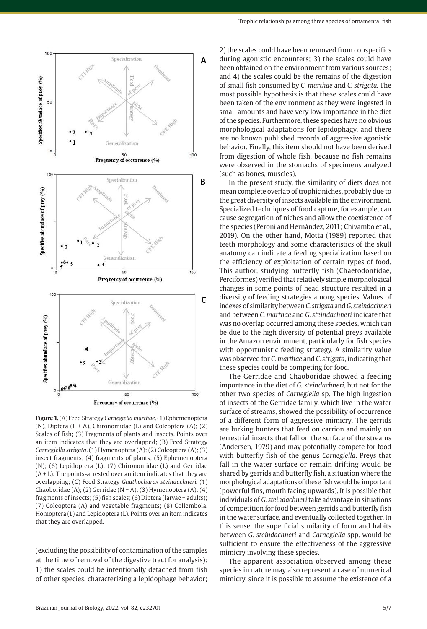

**Figure 1.** (A) Feed Strategy *Carnegiella marthae*. (1) Ephemenoptera (N), Diptera (L + A), Chironomidae (L) and Coleoptera (A); (2) Scales of fish; (3) Fragments of plants and insects. Points over an item indicates that they are overlapped; (B) Feed Strategy *Carnegiella strigata*. (1) Hymenoptera (A); (2) Coleoptera (A); (3) insect fragments; (4) fragments of plants; (5) Ephemenoptera (N); (6) Lepidoptera (L); (7) Chironomidae (L) and Gerridae  $(A + L)$ . The points-arrested over an item indicates that they are overlapping; (C) Feed Strategy *Gnathocharax steindachneri.* (1) Chaoboridae (A); (2) Gerridae (N + A); (3) Hymenoptera (A); (4) fragments of insects; (5) fish scales; (6) Diptera (larvae + adults); (7) Coleoptera (A) and vegetable fragments; (8) Collembola, Homoptera (L) and Lepidoptera (L). Points over an item indicates that they are overlapped.

(excluding the possibility of contamination of the samples at the time of removal of the digestive tract for analysis): 1) the scales could be intentionally detached from fish of other species, characterizing a lepidophage behavior;

2) the scales could have been removed from conspecifics during agonistic encounters; 3) the scales could have been obtained on the environment from various sources; and 4) the scales could be the remains of the digestion of small fish consumed by *C. marthae* and *C. strigata.* The most possible hypothesis is that these scales could have been taken of the environment as they were ingested in small amounts and have very low importance in the diet of the species. Furthermore, these species have no obvious morphological adaptations for lepidophagy, and there are no known published records of aggressive agonistic behavior. Finally, this item should not have been derived from digestion of whole fish, because no fish remains were observed in the stomachs of specimens analyzed (such as bones, muscles).

In the present study, the similarity of diets does not mean complete overlap of trophic niches, probably due to the great diversity of insects available in the environment. Specialized techniques of food capture, for example, can cause segregation of niches and allow the coexistence of the species (Peroni and Hernández, 2011; Chivambo et al., 2019). On the other hand, Motta (1989) reported that teeth morphology and some characteristics of the skull anatomy can indicate a feeding specialization based on the efficiency of exploitation of certain types of food. This author, studying butterfly fish (Chaetodontidae, Perciformes) verified that relatively simple morphological changes in some points of head structure resulted in a diversity of feeding strategies among species. Values of indexes of similarity between *C. strigata* and *G. steindachneri* and between *C. marthae* and *G. steindachneri* indicate that was no overlap occurred among these species, which can be due to the high diversity of potential preys available in the Amazon environment, particularly for fish species with opportunistic feeding strategy. A similarity value was observed for *C. marthae* and *C. strigata*, indicating that these species could be competing for food.

The Gerridae and Chaoboridae showed a feeding importance in the diet of *G. steindachneri*, but not for the other two species of *Carnegiella* sp. The high ingestion of insects of the Gerridae family, which live in the water surface of streams, showed the possibility of occurrence of a different form of aggressive mimicry. The gerrids are lurking hunters that feed on carrion and mainly on terrestrial insects that fall on the surface of the streams (Andersen, 1979) and may potentially compete for food with butterfly fish of the genus *Carnegiella*. Preys that fall in the water surface or remain drifting would be shared by gerrids and butterfly fish, a situation where the morphological adaptations of these fish would be important (powerful fins, mouth facing upwards). It is possible that individuals of *G. steindachneri* take advantage in situations of competition for food between gerrids and butterfly fish in the water surface, and eventually collected together. In this sense, the superficial similarity of form and habits between *G. steindachneri* and *Carnegiella* spp. would be sufficient to ensure the effectiveness of the aggressive mimicry involving these species.

The apparent association observed among these species in nature may also represent a case of numerical mimicry, since it is possible to assume the existence of a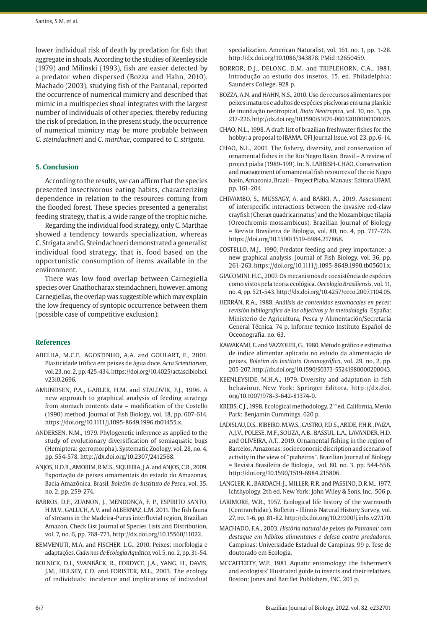lower individual risk of death by predation for fish that aggregate in shoals. According to the studies of Keenleyside (1979) and Milinski (1993), fish are easier detected by a predator when dispersed (Bozza and Hahn, 2010). Machado (2003), studying fish of the Pantanal, reported the occurrence of numerical mimicry and described that mimic in a multispecies shoal integrates with the largest number of individuals of other species, thereby reducing the risk of predation. In the present study, the occurrence of numerical mimicry may be more probable between *G. steindachneri* and *C. marthae*, compared to *C. strigata*.

# **5. Conclusion**

According to the results, we can affirm that the species presented insectivorous eating habits, characterizing dependence in relation to the resources coming from the flooded forest. These species presented a generalist feeding strategy, that is, a wide range of the trophic niche.

Regarding the individual food strategy, only C. Marthae showed a tendency towards specialization, whereas C. Strigata and G. Steindachneri demonstrated a generalist individual food strategy, that is, food based on the opportunistic consumption of items available in the environment.

There was low food overlap between Carnegiella species over Gnathocharax steindachneri, however, among Carnegiellas, the overlap was suggestible which may explain the low frequency of syntopic occurrence between them (possible case of competitive exclusion).

#### **References**

- ABELHA, M.C.F., AGOSTINHO, A.A. and GOULART, E., 2001. Plasticidade trófica em peixes de água doce. *Acta Scientiarum*, vol. 23, no. 2, pp. 425-434. https://doi.org/10.4025/actascibiolsci. v23i0.2696.
- AMUNDSEN, P.A., GABLER, H.M. and STALDVIK, F.J., 1996. A new approach to graphical analysis of feeding strategy from stomach contents data – modification of the Costello (1990) method. Journal of Fish Biology, vol. 18, pp. 607-614. https://doi.org/10.1111/j.1095-8649.1996.tb01455.x.
- ANDERSEN, N.M., 1979. Phylogenetic inference as applied to the study of evolutionary diversification of semiaquatic bugs (Hemiptera: gerromorpha). Systematic Zoology, vol. 28, no. 4, pp. 554-578. [http://dx.doi.org/10.2307/2412568](https://doi.org/10.2307/2412568).
- ANJOS, H.D.B., AMORIM, R.M.S., SIQUEIRA, J.A. and ANJOS, C.R., 2009. Exportação de peixes ornamentais do estado do Amazonas, Bacia Amazônica, Brasil. *Boletim do Instituto de Pesca*, vol. 35, no. 2, pp. 259-274.
- BARROS, D.F., ZUANON, J., MENDONÇA, F. P., ESPIRITO SANTO, H.M.V., GALUCH, A.V. and ALBERNAZ, L.M. 2011. The fish fauna of streams in the Madeira-Purus interfluvial region, Brazilian Amazon. Check List Journal of Species Lists and Distribution, vol. 7, no. 6, pp. 768-773. http://dx.doi.org/10.15560/11022.
- BEMVENUTI, M.A. and FISCHER, L.G., 2010. Peixes: morfologia e adaptações. *Cadernos de Ecologia Aquática*, vol. 5, no. 2, pp. 31-54.
- BOLNICK, D.I., SVANBÄCK, R., FORDYCE, J.A., YANG, H., DAVIS, J.M., HULSEY, C.D. and FORISTER, M.L., 2003. The ecology of individuals: incidence and implications of individual

specialization. American Naturalist, vol. 161, no. 1, pp. 1-28. [http://dx.doi.org/10.1086/343878](https://doi.org/10.1086/343878). [PMid:12650459.](https://www.ncbi.nlm.nih.gov/entrez/query.fcgi?cmd=Retrieve&db=PubMed&list_uids=12650459&dopt=Abstract)

BORROR, D.J., DELONG, D.M. and TRIPLEHORN, C.A., 1981. Introdução ao estudo dos insetos. 15. ed. Philadelphia: Saunders College. 928 p.

BOZZA, A.N. and HAHN, N.S., 2010. Uso de recursos alimentares por peixes imaturos e adultos de espécies piscívoras em uma planície de inundação neotropical. *Biota Neotropica*, vol. 10, no. 3, pp. 217-226. [http://dx.doi.org/10.1590/S1676-06032010000300025](https://doi.org/10.1590/S1676-06032010000300025).

- CHAO, N.L., 1998. A draft list of brazilian freshwater fishes for the hobby: a proposal to IBAMA. OFI Journal Issue, vol. 23, pp. 6-14.
- CHAO, N.L., 2001. The fishery, diversity, and conservation of ornamental fishes in the Rio Negro Basin, Brasil – A review of project piaba (1989-199). In: N. LABBISH-CHAO. Conservation and management of ornamental fish resources of the rio Negro basin, Amazonia, Brazil – Project Piaba. Manaus: Editora UFAM, pp. 161-204
- CHIVAMBO, S., MUSSAGY, A. and BARKI, A., 2019. Assessment of interspecific interactions between the invasive red-claw crayfish (Cherax quadricarinatus) and the Mozambique tilapia (Oreochromis mossambicus). Brazilian Journal of Biology = Revista Brasileira de Biologia, vol. 80, no. 4, pp. 717-726. https://doi.org/10.1590/1519-6984.217868.
- COSTELLO, M.J., 1990. Predator feeding and prey importance: a new graphical analysis. Journal of Fish Biology, vol. 36, pp. 261-263. https://doi.org/10.1111/j.1095-8649.1990.tb05601.x.
- GIACOMINI, H.C., 2007. Os mecanismos de coexistência de espécies como vistos pela teoria ecológica. *Oecologia Brasiliensis*, vol. 11, no. 4, pp. 521-543. [http://dx.doi.org/10.4257/oeco.2007.1104.05](https://doi.org/10.4257/oeco.2007.1104.05).
- HERRÁN, R.A., 1988. *Análisis de contenidos estomacales en peces: revisión bibliografica de los objetivos y la metodología*. España: Ministerio de Agricultura, Pesca y Alimentación/Secretaría General Técnica. 74 p. Informe tecnico Instituto Español de Oceonografia, no. 63.
- KAWAKAMI, E. and VAZZOLER, G., 1980. Método gráfico e estimativa de índice alimentar aplicado no estudo da alimentação de peixes. *Boletim do Instituto Oceanográfico*, vol. 29, no. 2, pp. 205-207. [http://dx.doi.org/10.1590/S0373-55241980000200043](https://doi.org/10.1590/S0373-55241980000200043).
- KEENLEYSIDE, M.H.A., 1979. Diversity and adaptation in fish behaviour. New York: Springer Editora. [http://dx.doi.](https://doi.org/10.1007/978-3-642-81374-0) [org/10.1007/978-3-642-81374-0](https://doi.org/10.1007/978-3-642-81374-0).
- KREBS, C.J., 1998. Ecological methodology. 2nd ed. California, Menlo Park: Benjamin Cummings. 620 p.
- LADISLAU, D.S., RIBEIRO, M.W.S., CASTRO, P.D.S., ARIDE, P.H.R., PAIZA, A.J.V., POLESE, M.F., SOUZA, A.B., BASSUL, L.A., LAVANDER, H.D. and OLIVEIRA, A.T., 2019. Ornamental fishing in the region of Barcelos, Amazonas: socioeconomic discription and scenario of activity in the view of "piabeiros". Brazilian Journal of Biology = Revista Brasileira de Biologia, vol. 80, no. 3, pp. 544-556. http://doi.org/10.1590/1519-6984.215806.
- LANGLER, K., BARDACH, J., MILLER, R.R. and PASSINO, D.R.M., 1977. Ichthyology. 2th ed. New York: John Wiley & Sons, Inc. 506 p.
- LARIMORE, W.R., 1957. Ecological life history of the warmouth (Centrarchidae). Bulletin - Illinois Natural History Survey, vol. 27, no. 1-6, pp. 81-82. [http://dx.doi.org/10.21900/j.inhs.v27.170](https://doi.org/10.21900/j.inhs.v27.170).
- MACHADO, F.A., 2003. *História natural de peixes do Pantanal: com destaque em hábitos alimentares e defesa contra predadores*. Campinas: Universidade Estadual de Campinas. 99 p. Tese de doutorado em Ecologia.
- MCCAFFERTY, W.P., 1981. Aquatic entomology: the fishermen's and ecologists' Illustrated guide to insects and their relatives. Boston: Jones and Bartllet Publishers, INC. 201 p.